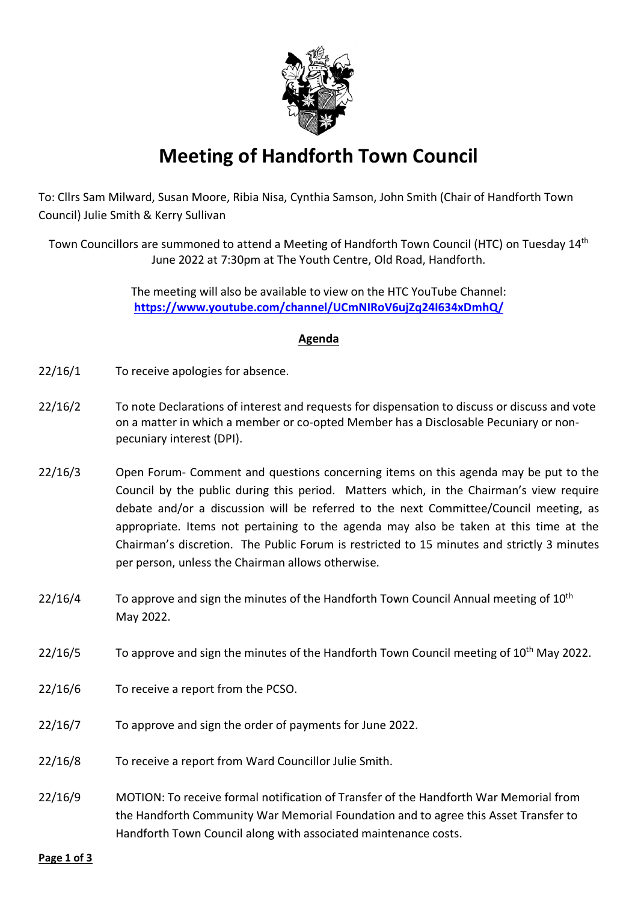

## **Meeting of Handforth Town Council**

To: Cllrs Sam Milward, Susan Moore, Ribia Nisa, Cynthia Samson, John Smith (Chair of Handforth Town Council) Julie Smith & Kerry Sullivan

Town Councillors are summoned to attend a Meeting of Handforth Town Council (HTC) on Tuesday 14th June 2022 at 7:30pm at The Youth Centre, Old Road, Handforth.

> The meeting will also be available to view on the HTC YouTube Channel: **<https://www.youtube.com/channel/UCmNIRoV6ujZq24I634xDmhQ/>**

## **Agenda**

- 22/16/1 To receive apologies for absence.
- 22/16/2 To note Declarations of interest and requests for dispensation to discuss or discuss and vote on a matter in which a member or co-opted Member has a Disclosable Pecuniary or nonpecuniary interest (DPI).
- 22/16/3 Open Forum- Comment and questions concerning items on this agenda may be put to the Council by the public during this period. Matters which, in the Chairman's view require debate and/or a discussion will be referred to the next Committee/Council meeting, as appropriate. Items not pertaining to the agenda may also be taken at this time at the Chairman's discretion. The Public Forum is restricted to 15 minutes and strictly 3 minutes per person, unless the Chairman allows otherwise.
- $22/16/4$  To approve and sign the minutes of the Handforth Town Council Annual meeting of  $10<sup>th</sup>$ May 2022.
- 22/16/5 To approve and sign the minutes of the Handforth Town Council meeting of  $10<sup>th</sup>$  May 2022.
- 22/16/6 To receive a report from the PCSO.
- 22/16/7 To approve and sign the order of payments for June 2022.
- 22/16/8 To receive a report from Ward Councillor Julie Smith.
- 22/16/9 MOTION: To receive formal notification of Transfer of the Handforth War Memorial from the Handforth Community War Memorial Foundation and to agree this Asset Transfer to Handforth Town Council along with associated maintenance costs.

**Page 1 of 3**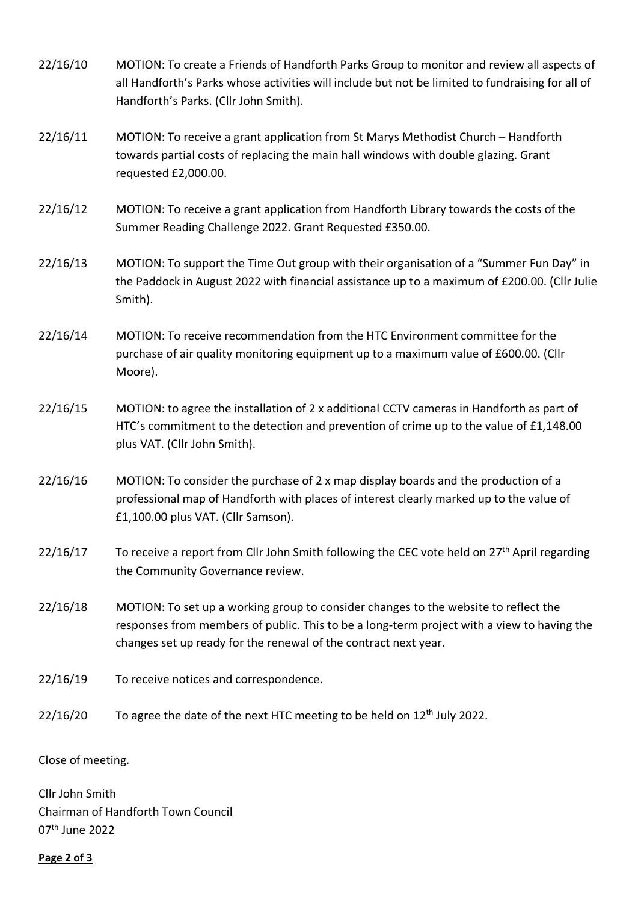- 22/16/10 MOTION: To create a Friends of Handforth Parks Group to monitor and review all aspects of all Handforth's Parks whose activities will include but not be limited to fundraising for all of Handforth's Parks. (Cllr John Smith).
- 22/16/11 MOTION: To receive a grant application from St Marys Methodist Church Handforth towards partial costs of replacing the main hall windows with double glazing. Grant requested £2,000.00.
- 22/16/12 MOTION: To receive a grant application from Handforth Library towards the costs of the Summer Reading Challenge 2022. Grant Requested £350.00.
- 22/16/13 MOTION: To support the Time Out group with their organisation of a "Summer Fun Day" in the Paddock in August 2022 with financial assistance up to a maximum of £200.00. (Cllr Julie Smith).
- 22/16/14 MOTION: To receive recommendation from the HTC Environment committee for the purchase of air quality monitoring equipment up to a maximum value of £600.00. (Cllr Moore).
- 22/16/15 MOTION: to agree the installation of 2 x additional CCTV cameras in Handforth as part of HTC's commitment to the detection and prevention of crime up to the value of £1,148.00 plus VAT. (Cllr John Smith).
- 22/16/16 MOTION: To consider the purchase of 2 x map display boards and the production of a professional map of Handforth with places of interest clearly marked up to the value of £1,100.00 plus VAT. (Cllr Samson).
- 22/16/17 To receive a report from Cllr John Smith following the CEC vote held on  $27<sup>th</sup>$  April regarding the Community Governance review.
- 22/16/18 MOTION: To set up a working group to consider changes to the website to reflect the responses from members of public. This to be a long-term project with a view to having the changes set up ready for the renewal of the contract next year.
- 22/16/19 To receive notices and correspondence.
- 22/16/20 To agree the date of the next HTC meeting to be held on  $12<sup>th</sup>$  July 2022.

Close of meeting.

Cllr John Smith Chairman of Handforth Town Council 07th June 2022

**Page 2 of 3**